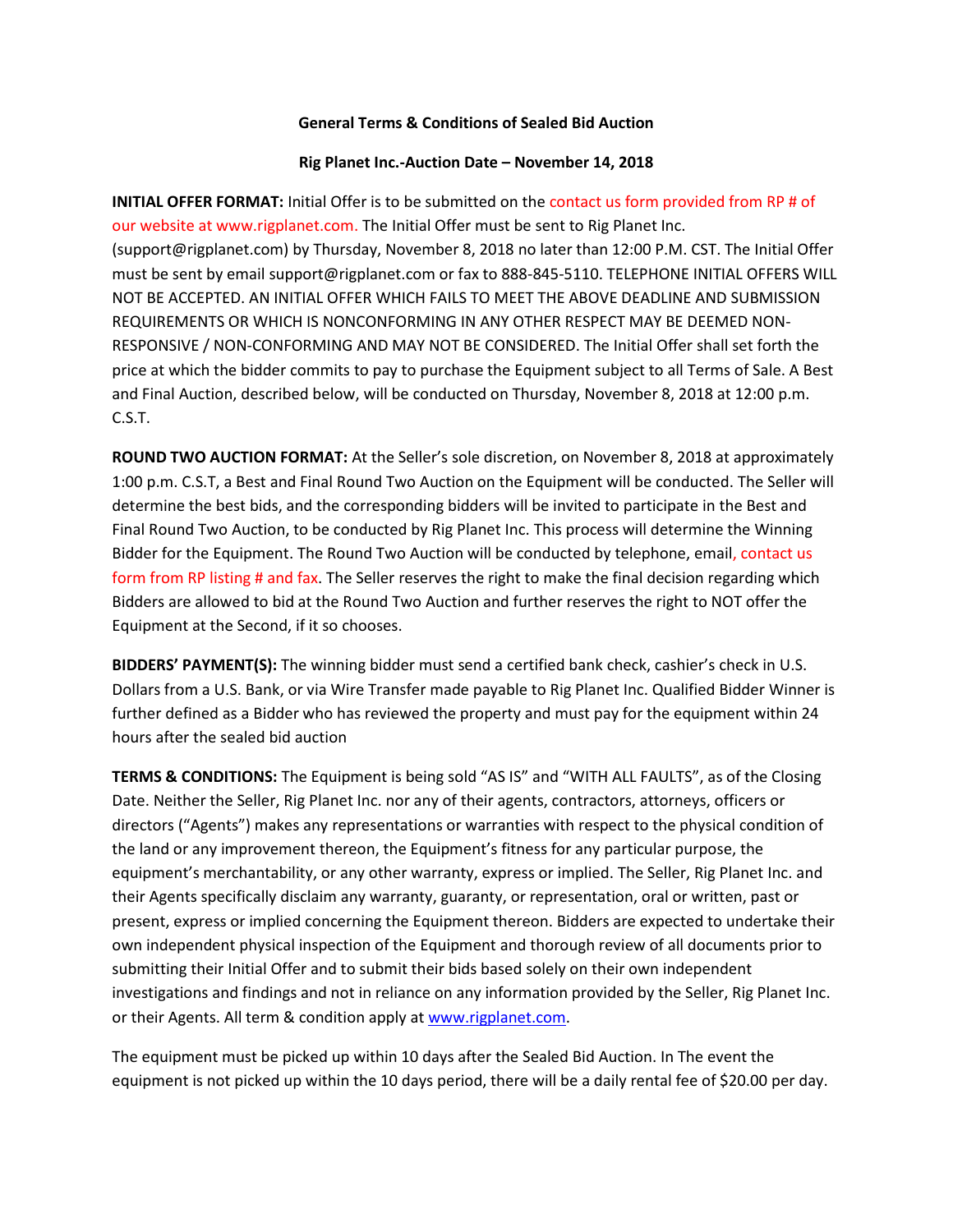## **General Terms & Conditions of Sealed Bid Auction**

#### **Rig Planet Inc.-Auction Date – November 14, 2018**

**INITIAL OFFER FORMAT:** Initial Offer is to be submitted on the contact us form provided from RP # of our website at www.rigplanet.com. The Initial Offer must be sent to Rig Planet Inc. (support@rigplanet.com) by Thursday, November 8, 2018 no later than 12:00 P.M. CST. The Initial Offer must be sent by email support@rigplanet.com or fax to 888-845-5110. TELEPHONE INITIAL OFFERS WILL NOT BE ACCEPTED. AN INITIAL OFFER WHICH FAILS TO MEET THE ABOVE DEADLINE AND SUBMISSION REQUIREMENTS OR WHICH IS NONCONFORMING IN ANY OTHER RESPECT MAY BE DEEMED NON-RESPONSIVE / NON-CONFORMING AND MAY NOT BE CONSIDERED. The Initial Offer shall set forth the price at which the bidder commits to pay to purchase the Equipment subject to all Terms of Sale. A Best and Final Auction, described below, will be conducted on Thursday, November 8, 2018 at 12:00 p.m. C.S.T.

**ROUND TWO AUCTION FORMAT:** At the Seller's sole discretion, on November 8, 2018 at approximately 1:00 p.m. C.S.T, a Best and Final Round Two Auction on the Equipment will be conducted. The Seller will determine the best bids, and the corresponding bidders will be invited to participate in the Best and Final Round Two Auction, to be conducted by Rig Planet Inc. This process will determine the Winning Bidder for the Equipment. The Round Two Auction will be conducted by telephone, email, contact us form from RP listing # and fax. The Seller reserves the right to make the final decision regarding which Bidders are allowed to bid at the Round Two Auction and further reserves the right to NOT offer the Equipment at the Second, if it so chooses.

**BIDDERS' PAYMENT(S):** The winning bidder must send a certified bank check, cashier's check in U.S. Dollars from a U.S. Bank, or via Wire Transfer made payable to Rig Planet Inc. Qualified Bidder Winner is further defined as a Bidder who has reviewed the property and must pay for the equipment within 24 hours after the sealed bid auction

**TERMS & CONDITIONS:** The Equipment is being sold "AS IS" and "WITH ALL FAULTS", as of the Closing Date. Neither the Seller, Rig Planet Inc. nor any of their agents, contractors, attorneys, officers or directors ("Agents") makes any representations or warranties with respect to the physical condition of the land or any improvement thereon, the Equipment's fitness for any particular purpose, the equipment's merchantability, or any other warranty, express or implied. The Seller, Rig Planet Inc. and their Agents specifically disclaim any warranty, guaranty, or representation, oral or written, past or present, express or implied concerning the Equipment thereon. Bidders are expected to undertake their own independent physical inspection of the Equipment and thorough review of all documents prior to submitting their Initial Offer and to submit their bids based solely on their own independent investigations and findings and not in reliance on any information provided by the Seller, Rig Planet Inc. or their Agents. All term & condition apply at [www.rigplanet.com.](http://www.rigplanet.com/)

The equipment must be picked up within 10 days after the Sealed Bid Auction. In The event the equipment is not picked up within the 10 days period, there will be a daily rental fee of \$20.00 per day.